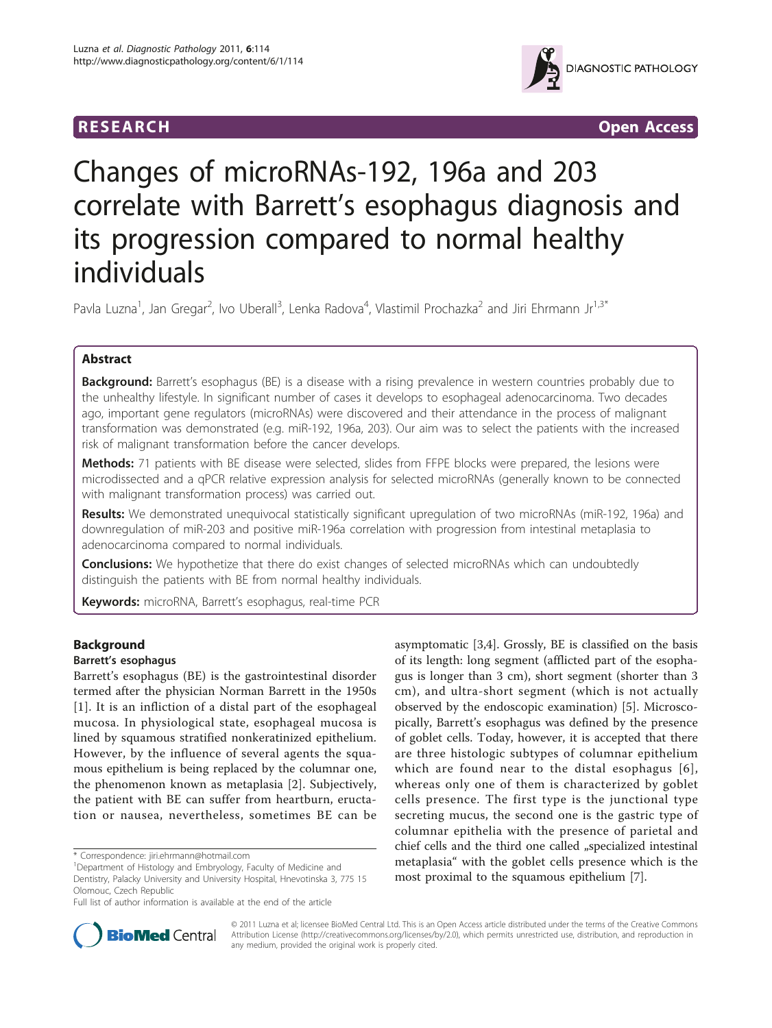



# Changes of microRNAs-192, 196a and 203 correlate with Barrett's esophagus diagnosis and its progression compared to normal healthy individuals

Pavla Luzna<sup>1</sup>, Jan Gregar<sup>2</sup>, Ivo Uberall<sup>3</sup>, Lenka Radova<sup>4</sup>, Vlastimil Prochazka<sup>2</sup> and Jiri Ehrmann Jr<sup>1,3\*</sup>

# Abstract

**Background:** Barrett's esophagus (BE) is a disease with a rising prevalence in western countries probably due to the unhealthy lifestyle. In significant number of cases it develops to esophageal adenocarcinoma. Two decades ago, important gene regulators (microRNAs) were discovered and their attendance in the process of malignant transformation was demonstrated (e.g. miR-192, 196a, 203). Our aim was to select the patients with the increased risk of malignant transformation before the cancer develops.

Methods: 71 patients with BE disease were selected, slides from FFPE blocks were prepared, the lesions were microdissected and a qPCR relative expression analysis for selected microRNAs (generally known to be connected with malignant transformation process) was carried out.

Results: We demonstrated unequivocal statistically significant upregulation of two microRNAs (miR-192, 196a) and downregulation of miR-203 and positive miR-196a correlation with progression from intestinal metaplasia to adenocarcinoma compared to normal individuals.

**Conclusions:** We hypothetize that there do exist changes of selected microRNAs which can undoubtedly distinguish the patients with BE from normal healthy individuals.

Keywords: microRNA, Barrett's esophagus, real-time PCR

# Background

## Barrett's esophagus

Barrett's esophagus (BE) is the gastrointestinal disorder termed after the physician Norman Barrett in the 1950s [[1](#page-5-0)]. It is an infliction of a distal part of the esophageal mucosa. In physiological state, esophageal mucosa is lined by squamous stratified nonkeratinized epithelium. However, by the influence of several agents the squamous epithelium is being replaced by the columnar one, the phenomenon known as metaplasia [\[2](#page-5-0)]. Subjectively, the patient with BE can suffer from heartburn, eructation or nausea, nevertheless, sometimes BE can be

\* Correspondence: [jiri.ehrmann@hotmail.com](mailto:jiri.ehrmann@hotmail.com)

asymptomatic [\[3,4](#page-5-0)]. Grossly, BE is classified on the basis of its length: long segment (afflicted part of the esophagus is longer than 3 cm), short segment (shorter than 3 cm), and ultra-short segment (which is not actually observed by the endoscopic examination) [\[5\]](#page-5-0). Microscopically, Barrett's esophagus was defined by the presence of goblet cells. Today, however, it is accepted that there are three histologic subtypes of columnar epithelium which are found near to the distal esophagus [[6\]](#page-5-0), whereas only one of them is characterized by goblet cells presence. The first type is the junctional type secreting mucus, the second one is the gastric type of columnar epithelia with the presence of parietal and chief cells and the third one called "specialized intestinal metaplasia" with the goblet cells presence which is the most proximal to the squamous epithelium [\[7](#page-5-0)].



© 2011 Luzna et al; licensee BioMed Central Ltd. This is an Open Access article distributed under the terms of the Creative Commons Attribution License [\(http://creativecommons.org/licenses/by/2.0](http://creativecommons.org/licenses/by/2.0)), which permits unrestricted use, distribution, and reproduction in any medium, provided the original work is properly cited.

<sup>&</sup>lt;sup>1</sup>Department of Histology and Embryology, Faculty of Medicine and Dentistry, Palacky University and University Hospital, Hnevotinska 3, 775 15 Olomouc, Czech Republic

Full list of author information is available at the end of the article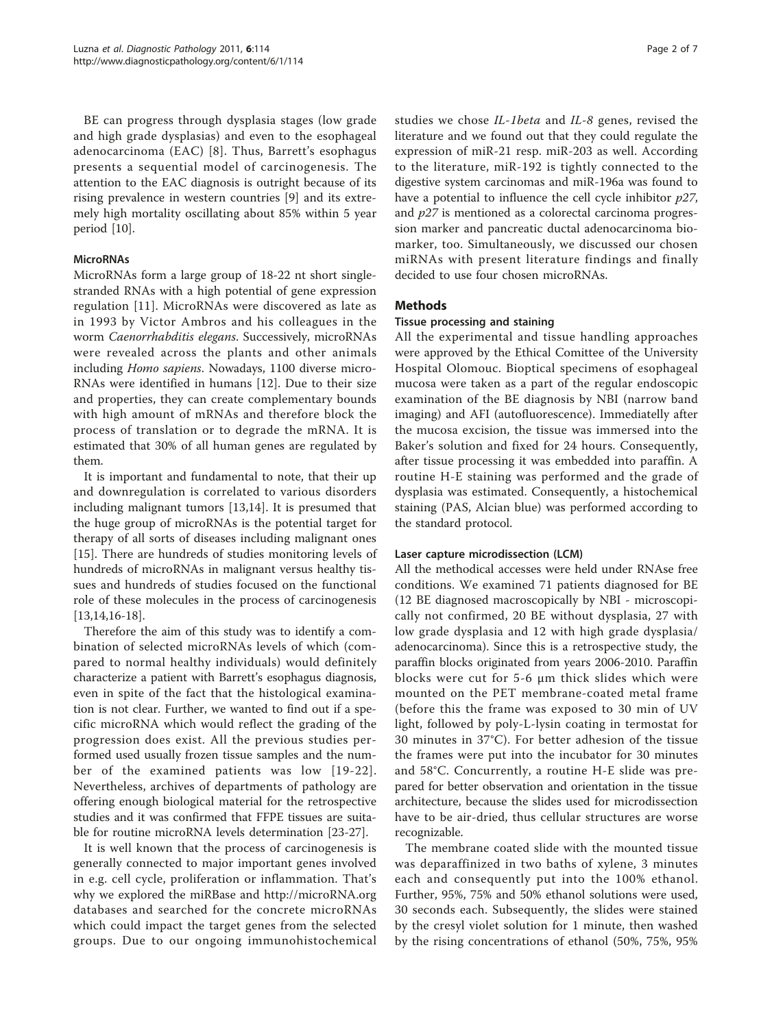BE can progress through dysplasia stages (low grade and high grade dysplasias) and even to the esophageal adenocarcinoma (EAC) [\[8\]](#page-5-0). Thus, Barrett's esophagus presents a sequential model of carcinogenesis. The attention to the EAC diagnosis is outright because of its rising prevalence in western countries [[9\]](#page-5-0) and its extremely high mortality oscillating about 85% within 5 year period [\[10\]](#page-5-0).

## **MicroRNAs**

MicroRNAs form a large group of 18-22 nt short singlestranded RNAs with a high potential of gene expression regulation [\[11\]](#page-5-0). MicroRNAs were discovered as late as in 1993 by Victor Ambros and his colleagues in the worm Caenorrhabditis elegans. Successively, microRNAs were revealed across the plants and other animals including Homo sapiens. Nowadays, 1100 diverse micro-RNAs were identified in humans [[12](#page-5-0)]. Due to their size and properties, they can create complementary bounds with high amount of mRNAs and therefore block the process of translation or to degrade the mRNA. It is estimated that 30% of all human genes are regulated by them.

It is important and fundamental to note, that their up and downregulation is correlated to various disorders including malignant tumors [[13,](#page-5-0)[14\]](#page-6-0). It is presumed that the huge group of microRNAs is the potential target for therapy of all sorts of diseases including malignant ones [[15\]](#page-6-0). There are hundreds of studies monitoring levels of hundreds of microRNAs in malignant versus healthy tissues and hundreds of studies focused on the functional role of these molecules in the process of carcinogenesis [[13,](#page-5-0)[14,16](#page-6-0)-[18\]](#page-6-0).

Therefore the aim of this study was to identify a combination of selected microRNAs levels of which (compared to normal healthy individuals) would definitely characterize a patient with Barrett's esophagus diagnosis, even in spite of the fact that the histological examination is not clear. Further, we wanted to find out if a specific microRNA which would reflect the grading of the progression does exist. All the previous studies performed used usually frozen tissue samples and the number of the examined patients was low [[19-22\]](#page-6-0). Nevertheless, archives of departments of pathology are offering enough biological material for the retrospective studies and it was confirmed that FFPE tissues are suitable for routine microRNA levels determination [\[23-27](#page-6-0)].

It is well known that the process of carcinogenesis is generally connected to major important genes involved in e.g. cell cycle, proliferation or inflammation. That's why we explored the miRBase and<http://microRNA.org> databases and searched for the concrete microRNAs which could impact the target genes from the selected groups. Due to our ongoing immunohistochemical studies we chose IL-1beta and IL-8 genes, revised the literature and we found out that they could regulate the expression of miR-21 resp. miR-203 as well. According to the literature, miR-192 is tightly connected to the digestive system carcinomas and miR-196a was found to have a potential to influence the cell cycle inhibitor  $p27$ , and  $p27$  is mentioned as a colorectal carcinoma progression marker and pancreatic ductal adenocarcinoma biomarker, too. Simultaneously, we discussed our chosen miRNAs with present literature findings and finally decided to use four chosen microRNAs.

## Methods

### Tissue processing and staining

All the experimental and tissue handling approaches were approved by the Ethical Comittee of the University Hospital Olomouc. Bioptical specimens of esophageal mucosa were taken as a part of the regular endoscopic examination of the BE diagnosis by NBI (narrow band imaging) and AFI (autofluorescence). Immediatelly after the mucosa excision, the tissue was immersed into the Baker's solution and fixed for 24 hours. Consequently, after tissue processing it was embedded into paraffin. A routine H-E staining was performed and the grade of dysplasia was estimated. Consequently, a histochemical staining (PAS, Alcian blue) was performed according to the standard protocol.

### Laser capture microdissection (LCM)

All the methodical accesses were held under RNAse free conditions. We examined 71 patients diagnosed for BE (12 BE diagnosed macroscopically by NBI - microscopically not confirmed, 20 BE without dysplasia, 27 with low grade dysplasia and 12 with high grade dysplasia/ adenocarcinoma). Since this is a retrospective study, the paraffin blocks originated from years 2006-2010. Paraffin blocks were cut for 5-6 μm thick slides which were mounted on the PET membrane-coated metal frame (before this the frame was exposed to 30 min of UV light, followed by poly-L-lysin coating in termostat for 30 minutes in 37°C). For better adhesion of the tissue the frames were put into the incubator for 30 minutes and 58°C. Concurrently, a routine H-E slide was prepared for better observation and orientation in the tissue architecture, because the slides used for microdissection have to be air-dried, thus cellular structures are worse recognizable.

The membrane coated slide with the mounted tissue was deparaffinized in two baths of xylene, 3 minutes each and consequently put into the 100% ethanol. Further, 95%, 75% and 50% ethanol solutions were used, 30 seconds each. Subsequently, the slides were stained by the cresyl violet solution for 1 minute, then washed by the rising concentrations of ethanol (50%, 75%, 95%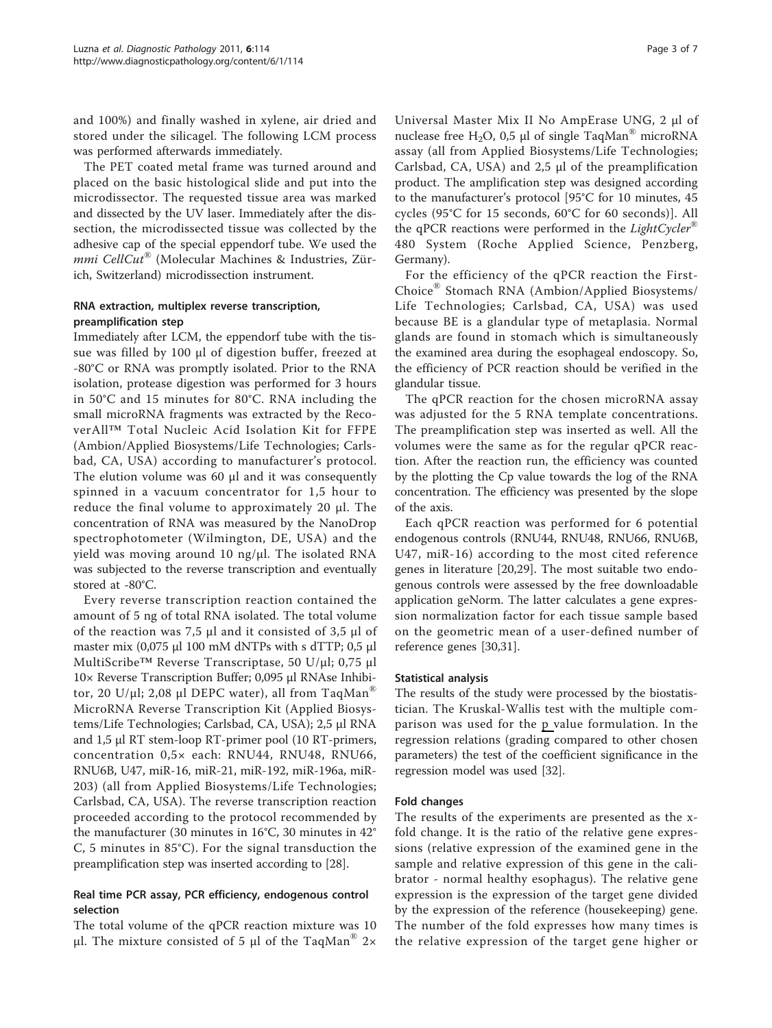and 100%) and finally washed in xylene, air dried and stored under the silicagel. The following LCM process was performed afterwards immediately.

The PET coated metal frame was turned around and placed on the basic histological slide and put into the microdissector. The requested tissue area was marked and dissected by the UV laser. Immediately after the dissection, the microdissected tissue was collected by the adhesive cap of the special eppendorf tube. We used the mmi CellCut<sup>®</sup> (Molecular Machines & Industries, Zürich, Switzerland) microdissection instrument.

## RNA extraction, multiplex reverse transcription, preamplification step

Immediately after LCM, the eppendorf tube with the tissue was filled by 100 μl of digestion buffer, freezed at -80°C or RNA was promptly isolated. Prior to the RNA isolation, protease digestion was performed for 3 hours in 50°C and 15 minutes for 80°C. RNA including the small microRNA fragments was extracted by the RecoverAll™ Total Nucleic Acid Isolation Kit for FFPE (Ambion/Applied Biosystems/Life Technologies; Carlsbad, CA, USA) according to manufacturer's protocol. The elution volume was 60 μl and it was consequently spinned in a vacuum concentrator for 1,5 hour to reduce the final volume to approximately 20 μl. The concentration of RNA was measured by the NanoDrop spectrophotometer (Wilmington, DE, USA) and the yield was moving around 10 ng/μl. The isolated RNA was subjected to the reverse transcription and eventually stored at -80°C.

Every reverse transcription reaction contained the amount of 5 ng of total RNA isolated. The total volume of the reaction was 7,5 μl and it consisted of 3,5 μl of master mix  $(0.075 \mu 1100 \text{ mM dNTPs with s dTTP; 0.5 \mu 1)$ MultiScribe™ Reverse Transcriptase, 50 U/μl; 0,75 μl 10× Reverse Transcription Buffer; 0,095 μl RNAse Inhibitor, 20 U/μl; 2,08 μl DEPC water), all from TaqMan<sup>®</sup> MicroRNA Reverse Transcription Kit (Applied Biosystems/Life Technologies; Carlsbad, CA, USA); 2,5 μl RNA and 1,5 μl RT stem-loop RT-primer pool (10 RT-primers, concentration 0,5× each: RNU44, RNU48, RNU66, RNU6B, U47, miR-16, miR-21, miR-192, miR-196a, miR-203) (all from Applied Biosystems/Life Technologies; Carlsbad, CA, USA). The reverse transcription reaction proceeded according to the protocol recommended by the manufacturer (30 minutes in 16°C, 30 minutes in 42° C, 5 minutes in 85°C). For the signal transduction the preamplification step was inserted according to [\[28](#page-6-0)].

# Real time PCR assay, PCR efficiency, endogenous control selection

The total volume of the qPCR reaction mixture was 10 μl. The mixture consisted of 5 μl of the TaqMan<sup>®</sup> 2×

Universal Master Mix II No AmpErase UNG, 2 μl of nuclease free H<sub>2</sub>O, 0,5 μl of single TaqMan<sup>®</sup> microRNA assay (all from Applied Biosystems/Life Technologies; Carlsbad, CA, USA) and 2,5 μl of the preamplification product. The amplification step was designed according to the manufacturer's protocol [95°C for 10 minutes, 45 cycles (95°C for 15 seconds, 60°C for 60 seconds)]. All the qPCR reactions were performed in the *LightCycler*<sup>®</sup> 480 System (Roche Applied Science, Penzberg, Germany).

For the efficiency of the qPCR reaction the First-Choice® Stomach RNA (Ambion/Applied Biosystems/ Life Technologies; Carlsbad, CA, USA) was used because BE is a glandular type of metaplasia. Normal glands are found in stomach which is simultaneously the examined area during the esophageal endoscopy. So, the efficiency of PCR reaction should be verified in the glandular tissue.

The qPCR reaction for the chosen microRNA assay was adjusted for the 5 RNA template concentrations. The preamplification step was inserted as well. All the volumes were the same as for the regular qPCR reaction. After the reaction run, the efficiency was counted by the plotting the Cp value towards the log of the RNA concentration. The efficiency was presented by the slope of the axis.

Each qPCR reaction was performed for 6 potential endogenous controls (RNU44, RNU48, RNU66, RNU6B, U47, miR-16) according to the most cited reference genes in literature [[20,29\]](#page-6-0). The most suitable two endogenous controls were assessed by the free downloadable application geNorm. The latter calculates a gene expression normalization factor for each tissue sample based on the geometric mean of a user-defined number of reference genes [\[30,31](#page-6-0)].

## Statistical analysis

The results of the study were processed by the biostatistician. The Kruskal-Wallis test with the multiple comparison was used for the p value formulation. In the regression relations (grading compared to other chosen parameters) the test of the coefficient significance in the regression model was used [\[32\]](#page-6-0).

# Fold changes

The results of the experiments are presented as the xfold change. It is the ratio of the relative gene expressions (relative expression of the examined gene in the sample and relative expression of this gene in the calibrator - normal healthy esophagus). The relative gene expression is the expression of the target gene divided by the expression of the reference (housekeeping) gene. The number of the fold expresses how many times is the relative expression of the target gene higher or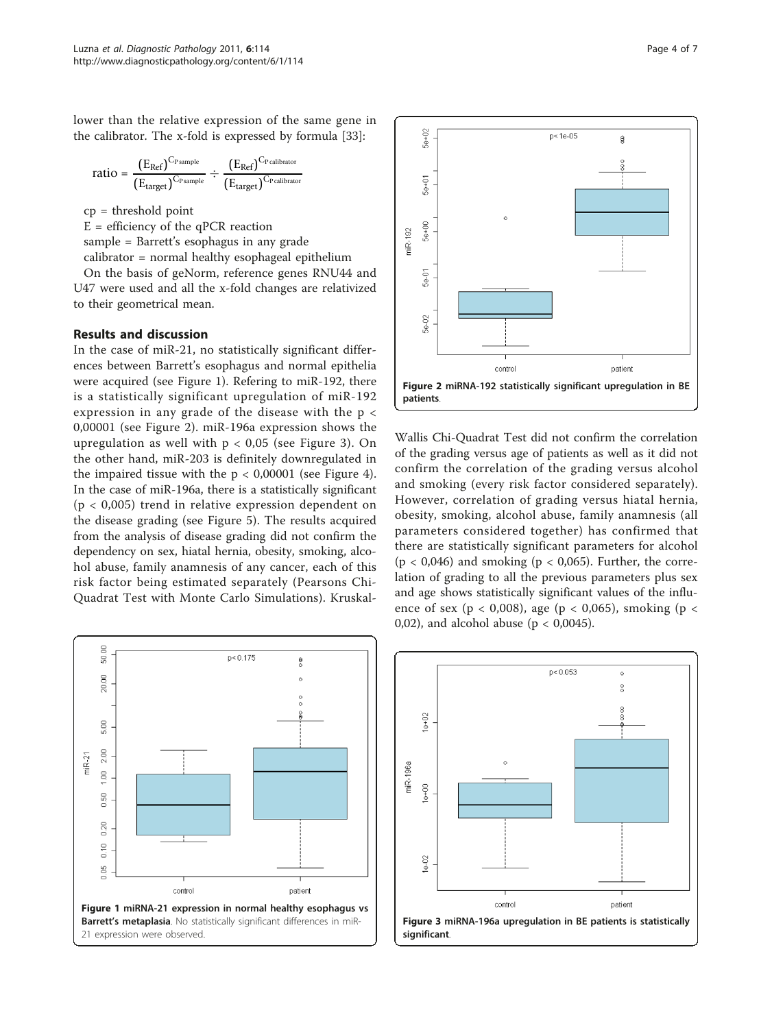lower than the relative expression of the same gene in the calibrator. The x-fold is expressed by formula [[33\]](#page-6-0):

$$
\text{ratio} = \frac{\left(E_{Ref}\right)^{C_{P\,sample}}}{\left(E_{target}\right)^{C_{P\,sample}}}\div\frac{\left(E_{Ref}\right)^{C_{P\,cal{c}\text{-}\text{l}\text{-}\text{b}\text{-}\text{r}\text{-}\text{}}}}{\left(E_{target}\right)^{C_{P\,cal{c}\text{-}\text{l}\text{-}\text{b}\text{-}\text{r}\text{-}\text{c}\text{-}\text{r}\text{-}\text{c}\text{-}\text{l}\text{-}\text{b}\text{-}\text{r}\text{-}\text{c}\text{-}\text{r}}}
$$

cp = threshold point

 $E =$  efficiency of the qPCR reaction sample = Barrett's esophagus in any grade calibrator = normal healthy esophageal epithelium

On the basis of geNorm, reference genes RNU44 and U47 were used and all the x-fold changes are relativized to their geometrical mean.

## Results and discussion

In the case of miR-21, no statistically significant differences between Barrett's esophagus and normal epithelia were acquired (see Figure 1). Refering to miR-192, there is a statistically significant upregulation of miR-192 expression in any grade of the disease with the p < 0,00001 (see Figure 2). miR-196a expression shows the upregulation as well with  $p < 0.05$  (see Figure 3). On the other hand, miR-203 is definitely downregulated in the impaired tissue with the  $p < 0,00001$  (see Figure [4](#page-4-0)). In the case of miR-196a, there is a statistically significant (p < 0,005) trend in relative expression dependent on the disease grading (see Figure [5](#page-4-0)). The results acquired from the analysis of disease grading did not confirm the dependency on sex, hiatal hernia, obesity, smoking, alcohol abuse, family anamnesis of any cancer, each of this risk factor being estimated separately (Pearsons Chi-Quadrat Test with Monte Carlo Simulations). Kruskal-





Wallis Chi-Quadrat Test did not confirm the correlation of the grading versus age of patients as well as it did not confirm the correlation of the grading versus alcohol and smoking (every risk factor considered separately). However, correlation of grading versus hiatal hernia, obesity, smoking, alcohol abuse, family anamnesis (all parameters considered together) has confirmed that there are statistically significant parameters for alcohol  $(p < 0.046)$  and smoking  $(p < 0.065)$ . Further, the correlation of grading to all the previous parameters plus sex and age shows statistically significant values of the influence of sex ( $p < 0.008$ ), age ( $p < 0.065$ ), smoking ( $p <$ 0,02), and alcohol abuse ( $p < 0.0045$ ).

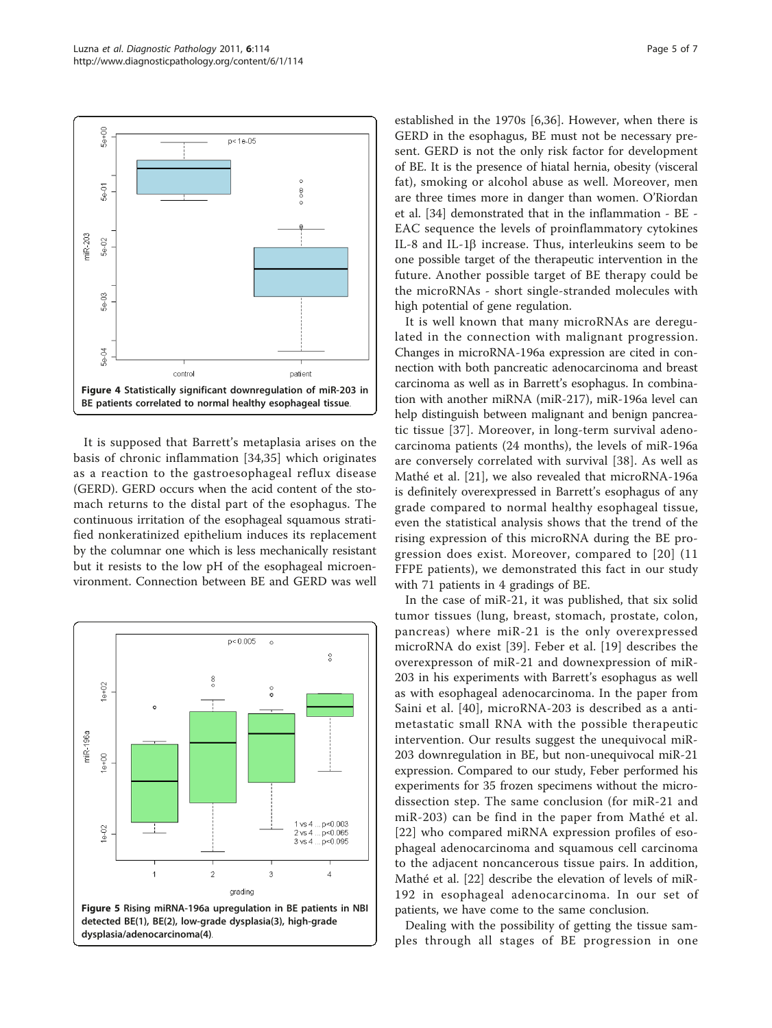<span id="page-4-0"></span>

It is supposed that Barrett's metaplasia arises on the basis of chronic inflammation [\[34](#page-6-0),[35\]](#page-6-0) which originates as a reaction to the gastroesophageal reflux disease (GERD). GERD occurs when the acid content of the stomach returns to the distal part of the esophagus. The continuous irritation of the esophageal squamous stratified nonkeratinized epithelium induces its replacement by the columnar one which is less mechanically resistant but it resists to the low pH of the esophageal microenvironment. Connection between BE and GERD was well



established in the 1970s [[6,](#page-5-0)[36\]](#page-6-0). However, when there is GERD in the esophagus, BE must not be necessary present. GERD is not the only risk factor for development of BE. It is the presence of hiatal hernia, obesity (visceral fat), smoking or alcohol abuse as well. Moreover, men are three times more in danger than women. O'Riordan et al. [\[34](#page-6-0)] demonstrated that in the inflammation - BE - EAC sequence the levels of proinflammatory cytokines IL-8 and IL-1 $\beta$  increase. Thus, interleukins seem to be one possible target of the therapeutic intervention in the future. Another possible target of BE therapy could be the microRNAs - short single-stranded molecules with high potential of gene regulation.

It is well known that many microRNAs are deregulated in the connection with malignant progression. Changes in microRNA-196a expression are cited in connection with both pancreatic adenocarcinoma and breast carcinoma as well as in Barrett's esophagus. In combination with another miRNA (miR-217), miR-196a level can help distinguish between malignant and benign pancreatic tissue [[37\]](#page-6-0). Moreover, in long-term survival adenocarcinoma patients (24 months), the levels of miR-196a are conversely correlated with survival [[38](#page-6-0)]. As well as Mathé et al. [\[21](#page-6-0)], we also revealed that microRNA-196a is definitely overexpressed in Barrett's esophagus of any grade compared to normal healthy esophageal tissue, even the statistical analysis shows that the trend of the rising expression of this microRNA during the BE progression does exist. Moreover, compared to [[20\]](#page-6-0) (11 FFPE patients), we demonstrated this fact in our study with 71 patients in 4 gradings of BE.

In the case of miR-21, it was published, that six solid tumor tissues (lung, breast, stomach, prostate, colon, pancreas) where miR-21 is the only overexpressed microRNA do exist [[39\]](#page-6-0). Feber et al. [[19\]](#page-6-0) describes the overexpresson of miR-21 and downexpression of miR-203 in his experiments with Barrett's esophagus as well as with esophageal adenocarcinoma. In the paper from Saini et al. [[40](#page-6-0)], microRNA-203 is described as a antimetastatic small RNA with the possible therapeutic intervention. Our results suggest the unequivocal miR-203 downregulation in BE, but non-unequivocal miR-21 expression. Compared to our study, Feber performed his experiments for 35 frozen specimens without the microdissection step. The same conclusion (for miR-21 and miR-203) can be find in the paper from Mathé et al. [[22](#page-6-0)] who compared miRNA expression profiles of esophageal adenocarcinoma and squamous cell carcinoma to the adjacent noncancerous tissue pairs. In addition, Mathé et al. [[22\]](#page-6-0) describe the elevation of levels of miR-192 in esophageal adenocarcinoma. In our set of patients, we have come to the same conclusion.

Dealing with the possibility of getting the tissue samples through all stages of BE progression in one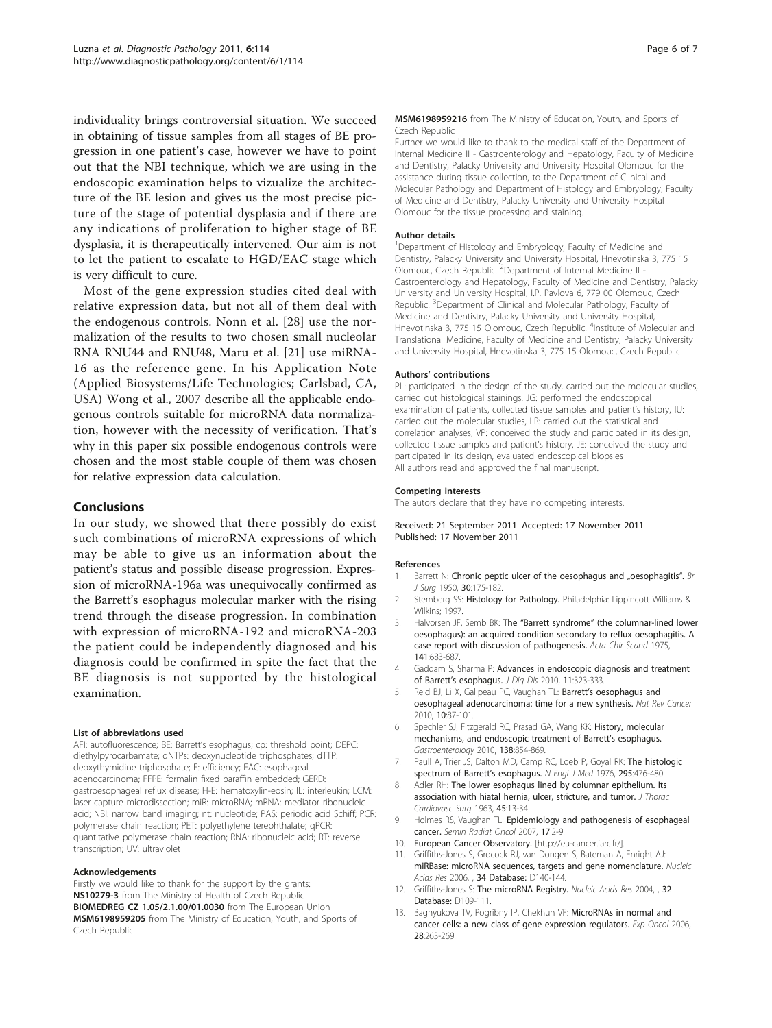<span id="page-5-0"></span>individuality brings controversial situation. We succeed in obtaining of tissue samples from all stages of BE progression in one patient's case, however we have to point out that the NBI technique, which we are using in the endoscopic examination helps to vizualize the architecture of the BE lesion and gives us the most precise picture of the stage of potential dysplasia and if there are any indications of proliferation to higher stage of BE dysplasia, it is therapeutically intervened. Our aim is not to let the patient to escalate to HGD/EAC stage which is very difficult to cure.

Most of the gene expression studies cited deal with relative expression data, but not all of them deal with the endogenous controls. Nonn et al. [[28\]](#page-6-0) use the normalization of the results to two chosen small nucleolar RNA RNU44 and RNU48, Maru et al. [\[21](#page-6-0)] use miRNA-16 as the reference gene. In his Application Note (Applied Biosystems/Life Technologies; Carlsbad, CA, USA) Wong et al., 2007 describe all the applicable endogenous controls suitable for microRNA data normalization, however with the necessity of verification. That's why in this paper six possible endogenous controls were chosen and the most stable couple of them was chosen for relative expression data calculation.

## Conclusions

In our study, we showed that there possibly do exist such combinations of microRNA expressions of which may be able to give us an information about the patient's status and possible disease progression. Expression of microRNA-196a was unequivocally confirmed as the Barrett's esophagus molecular marker with the rising trend through the disease progression. In combination with expression of microRNA-192 and microRNA-203 the patient could be independently diagnosed and his diagnosis could be confirmed in spite the fact that the BE diagnosis is not supported by the histological examination.

#### List of abbreviations used

AFI: autofluorescence; BE: Barrett's esophagus; cp: threshold point; DEPC: diethylpyrocarbamate; dNTPs: deoxynucleotide triphosphates; dTTP: deoxythymidine triphosphate; E: efficiency; EAC: esophageal adenocarcinoma; FFPE: formalin fixed paraffin embedded; GERD: gastroesophageal reflux disease; H-E: hematoxylin-eosin; IL: interleukin; LCM: laser capture microdissection; miR: microRNA; mRNA: mediator ribonucleic acid; NBI: narrow band imaging; nt: nucleotide; PAS: periodic acid Schiff; PCR: polymerase chain reaction; PET: polyethylene terephthalate; qPCR: quantitative polymerase chain reaction; RNA: ribonucleic acid; RT: reverse transcription; UV: ultraviolet

#### Acknowledgements

Firstly we would like to thank for the support by the grants: NS10279-3 from The Ministry of Health of Czech Republic BIOMEDREG CZ 1.05/2.1.00/01.0030 from The European Union MSM6198959205 from The Ministry of Education, Youth, and Sports of Czech Republic

#### MSM6198959216 from The Ministry of Education, Youth, and Sports of Czech Republic

Further we would like to thank to the medical staff of the Department of Internal Medicine II - Gastroenterology and Hepatology, Faculty of Medicine and Dentistry, Palacky University and University Hospital Olomouc for the assistance during tissue collection, to the Department of Clinical and Molecular Pathology and Department of Histology and Embryology, Faculty of Medicine and Dentistry, Palacky University and University Hospital Olomouc for the tissue processing and staining.

#### Author details

<sup>1</sup>Department of Histology and Embryology, Faculty of Medicine and Dentistry, Palacky University and University Hospital, Hnevotinska 3, 775 15 Olomouc, Czech Republic. <sup>2</sup> Department of Internal Medicine II -Gastroenterology and Hepatology, Faculty of Medicine and Dentistry, Palacky University and University Hospital, I.P. Pavlova 6, 779 00 Olomouc, Czech Republic. <sup>3</sup>Department of Clinical and Molecular Pathology, Faculty of Medicine and Dentistry, Palacky University and University Hospital, Hnevotinska 3, 775 15 Olomouc, Czech Republic. <sup>4</sup>Institute of Molecular and Translational Medicine, Faculty of Medicine and Dentistry, Palacky University and University Hospital, Hnevotinska 3, 775 15 Olomouc, Czech Republic.

#### Authors' contributions

PL: participated in the design of the study, carried out the molecular studies, carried out histological stainings, JG: performed the endoscopical examination of patients, collected tissue samples and patient's history, IU: carried out the molecular studies, LR: carried out the statistical and correlation analyses, VP: conceived the study and participated in its design, collected tissue samples and patient's history, JE: conceived the study and participated in its design, evaluated endoscopical biopsies All authors read and approved the final manuscript.

#### Competing interests

The autors declare that they have no competing interests.

Received: 21 September 2011 Accepted: 17 November 2011 Published: 17 November 2011

#### References

- 1. Barrett N: Chronic peptic ulcer of the oesophagus and "oesophagitis". Br J Surg 1950, 30:175-182.
- 2. Sternberg SS: Histology for Pathology. Philadelphia: Lippincott Williams & Wilkins; 1997.
- 3. Halvorsen JF, Semb BK: The "Barrett syndrome" [\(the columnar-lined lower](http://www.ncbi.nlm.nih.gov/pubmed/1211042?dopt=Abstract) [oesophagus\): an acquired condition secondary to reflux oesophagitis. A](http://www.ncbi.nlm.nih.gov/pubmed/1211042?dopt=Abstract) [case report with discussion of pathogenesis.](http://www.ncbi.nlm.nih.gov/pubmed/1211042?dopt=Abstract) Acta Chir Scand 1975, 141:683-687.
- 4. Gaddam S, Sharma P: [Advances in endoscopic diagnosis and treatment](http://www.ncbi.nlm.nih.gov/pubmed/21091894?dopt=Abstract) of Barrett'[s esophagus.](http://www.ncbi.nlm.nih.gov/pubmed/21091894?dopt=Abstract) J Dig Dis 2010, 11:323-333.
- Reid BJ, Li X, Galipeau PC, Vaughan TL: Barrett'[s oesophagus and](http://www.ncbi.nlm.nih.gov/pubmed/20094044?dopt=Abstract) [oesophageal adenocarcinoma: time for a new synthesis.](http://www.ncbi.nlm.nih.gov/pubmed/20094044?dopt=Abstract) Nat Rev Cancer 2010, 10:87-101.
- 6. Spechler SJ, Fitzgerald RC, Prasad GA, Wang KK: [History, molecular](http://www.ncbi.nlm.nih.gov/pubmed/20080098?dopt=Abstract) [mechanisms, and endoscopic treatment of Barrett](http://www.ncbi.nlm.nih.gov/pubmed/20080098?dopt=Abstract)'s esophagus. Gastroenterology 2010, 138:854-869.
- 7. Paull A, Trier JS, Dalton MD, Camp RC, Loeb P, Goyal RK: [The histologic](http://www.ncbi.nlm.nih.gov/pubmed/940579?dopt=Abstract) [spectrum of Barrett](http://www.ncbi.nlm.nih.gov/pubmed/940579?dopt=Abstract)'s esophagus. N Engl J Med 1976, 295:476-480.
- 8. Adler RH: [The lower esophagus lined by columnar epithelium. Its](http://www.ncbi.nlm.nih.gov/pubmed/14011100?dopt=Abstract) [association with hiatal hernia, ulcer, stricture, and tumor.](http://www.ncbi.nlm.nih.gov/pubmed/14011100?dopt=Abstract) J Thorac Cardiovasc Surg 1963, 45:13-34.
- 9. Holmes RS, Vaughan TL: [Epidemiology and pathogenesis of esophageal](http://www.ncbi.nlm.nih.gov/pubmed/17185192?dopt=Abstract) [cancer.](http://www.ncbi.nlm.nih.gov/pubmed/17185192?dopt=Abstract) Semin Radiat Oncol 2007, 17:2-9.
- 10. European Cancer Observatory. [[http://eu-cancer.iarc.fr/\]](http://eu-cancer.iarc.fr/).
- 11. Griffiths-Jones S, Grocock RJ, van Dongen S, Bateman A, Enright AJ: miRBase: microRNA sequences, targets and gene nomenclature. Nucleic Acids Res 2006, , 34 Database: D140-144.
- 12. Griffiths-Jones S: The microRNA Registry. Nucleic Acids Res 2004, , 32 Database: D109-111.
- 13. Bagnyukova TV, Pogribny IP, Chekhun VF: [MicroRNAs in normal and](http://www.ncbi.nlm.nih.gov/pubmed/17285108?dopt=Abstract) [cancer cells: a new class of gene expression regulators.](http://www.ncbi.nlm.nih.gov/pubmed/17285108?dopt=Abstract) Exp Oncol 2006, 28:263-269.